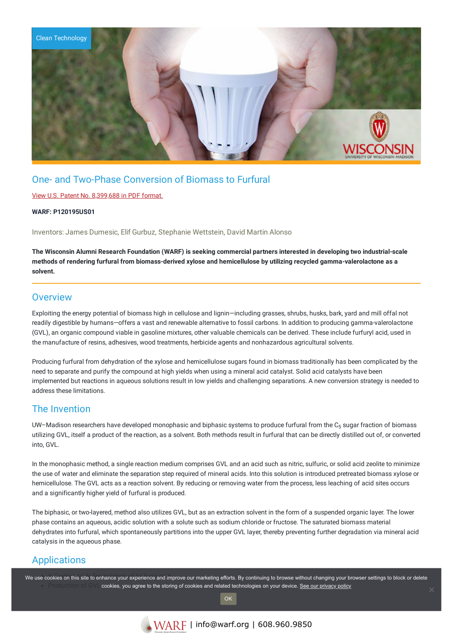

### One- and Two-Phase Conversion of Biomass to Furfural

### View U.S. Patent No. [8,399,688](https://www.warf.org/wp-content/uploads/technologies/ipstatus/P120195US01.PDF) in PDF format.

#### **WARF: P120195US01**

Inventors: James Dumesic, Elif Gurbuz, Stephanie Wettstein, David Martin Alonso

The Wisconsin Alumni Research Foundation (WARF) is seeking commercial partners interested in developing two industrial-scale methods of rendering furfural from biomass-derived xylose and hemicellulose by utilizing recycled gamma-valerolactone as a **solvent.**

### **Overview**

Exploiting the energy potential of biomass high in cellulose and lignin—including grasses, shrubs, husks, bark, yard and mill offal not readily digestible by humans—offers a vast and renewable alternative to fossil carbons. In addition to producing gamma-valerolactone (GVL), an organic compound viable in gasoline mixtures, other valuable chemicals can be derived. These include furfuryl acid, used in the manufacture of resins, adhesives, wood treatments, herbicide agents and nonhazardous agricultural solvents.

Producing furfural from dehydration of the xylose and hemicellulose sugars found in biomass traditionally has been complicated by the need to separate and purify the compound at high yields when using a mineral acid catalyst. Solid acid catalysts have been implemented but reactions in aqueous solutions result in low yields and challenging separations. A new conversion strategy is needed to address these limitations.

### The Invention

UW–Madison researchers have developed monophasic and biphasic systems to produce furfural from the C $_5$  sugar fraction of biomass utilizing GVL, itself a product of the reaction, as a solvent. Both methods result in furfural that can be directly distilled out of, or converted into, GVL.

In the monophasic method, a single reaction medium comprises GVL and an acid such as nitric, sulfuric, or solid acid zeolite to minimize the use of water and eliminate the separation step required of mineral acids. Into this solution is introduced pretreated biomass xylose or hemicellulose. The GVL acts as a reaction solvent. By reducing or removing water from the process, less leaching of acid sites occurs and a significantly higher yield of furfural is produced.

The biphasic, or two-layered, method also utilizes GVL, but as an extraction solvent in the form of a suspended organic layer. The lower phase contains an aqueous, acidic solution with a solute such as sodium chloride or fructose. The saturated biomass material dehydrates into furfural, which spontaneously partitions into the upper GVL layer, thereby preventing further degradation via mineral acid catalysis in the aqueous phase.

## Applications

We use cookies on this site to enhance your experience and improve our marketing efforts. By continuing to browse without changing your browser settings to block or delete cookies, you agree to the storing of cookies and related technologies on your device. [See our privacy policy](https://www.warf.org/privacy-policy/)

OK